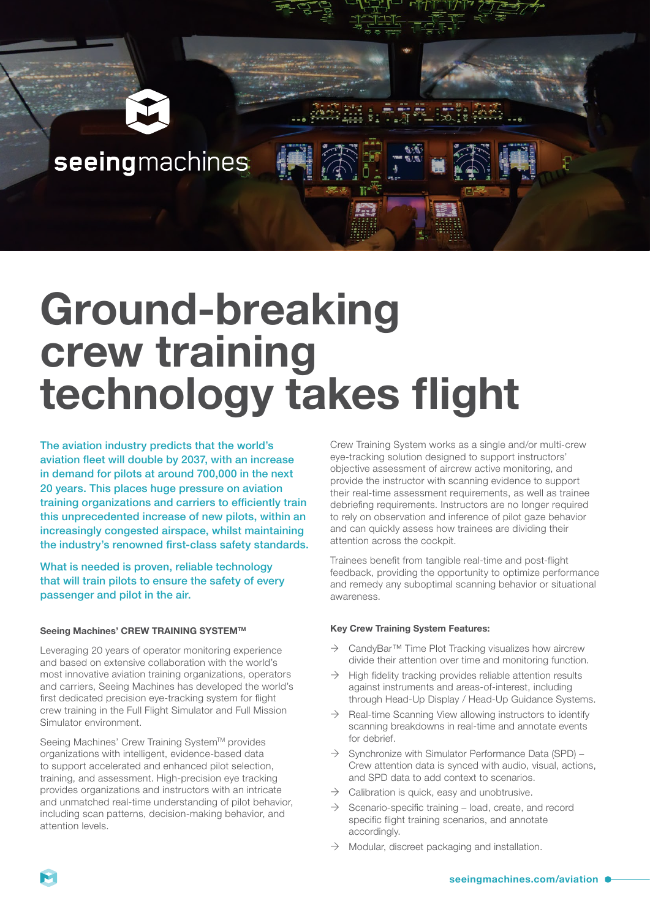

# seeingmachines

# **Ground-breaking crew training technology takes flight**

The aviation industry predicts that the world's aviation fleet will double by 2037, with an increase in demand for pilots at around 700,000 in the next 20 years. This places huge pressure on aviation training organizations and carriers to efficiently train this unprecedented increase of new pilots, within an increasingly congested airspace, whilst maintaining the industry's renowned first-class safety standards.

What is needed is proven, reliable technology that will train pilots to ensure the safety of every passenger and pilot in the air.

#### **Seeing Machines' CREW TRAINING SYSTEMTM**

Leveraging 20 years of operator monitoring experience and based on extensive collaboration with the world's most innovative aviation training organizations, operators and carriers, Seeing Machines has developed the world's first dedicated precision eye-tracking system for flight crew training in the Full Flight Simulator and Full Mission Simulator environment.

Seeing Machines' Crew Training System™ provides organizations with intelligent, evidence-based data to support accelerated and enhanced pilot selection, training, and assessment. High-precision eye tracking provides organizations and instructors with an intricate and unmatched real-time understanding of pilot behavior, including scan patterns, decision-making behavior, and attention levels.

Crew Training System works as a single and/or multi-crew eye-tracking solution designed to support instructors' objective assessment of aircrew active monitoring, and provide the instructor with scanning evidence to support their real-time assessment requirements, as well as trainee debriefing requirements. Instructors are no longer required to rely on observation and inference of pilot gaze behavior and can quickly assess how trainees are dividing their attention across the cockpit.

Trainees benefit from tangible real-time and post-flight feedback, providing the opportunity to optimize performance and remedy any suboptimal scanning behavior or situational awareness.

#### **Key Crew Training System Features:**

- $\rightarrow$  CandyBar<sup>TM</sup> Time Plot Tracking visualizes how aircrew divide their attention over time and monitoring function.
- $\rightarrow$  High fidelity tracking provides reliable attention results against instruments and areas-of-interest, including through Head-Up Display / Head-Up Guidance Systems.
- $\rightarrow$  Real-time Scanning View allowing instructors to identify scanning breakdowns in real-time and annotate events for debrief.
- $\rightarrow$  Synchronize with Simulator Performance Data (SPD) Crew attention data is synced with audio, visual, actions, and SPD data to add context to scenarios.
- $\rightarrow$  Calibration is quick, easy and unobtrusive.
- $\rightarrow$  Scenario-specific training load, create, and record specific flight training scenarios, and annotate accordingly.
- $\rightarrow$  Modular, discreet packaging and installation.